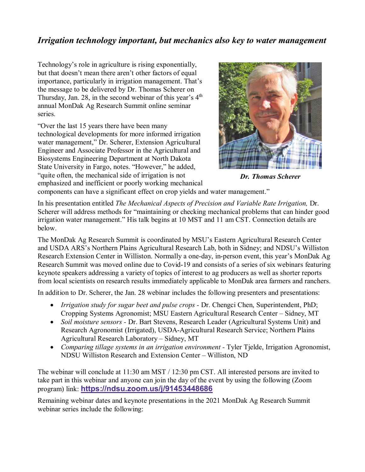## *Irrigation technology important, but mechanics also key to water management*

Technology's role in agriculture is rising exponentially, but that doesn't mean there aren't other factors of equal importance, particularly in irrigation management. That's the message to be delivered by Dr. Thomas Scherer on Thursday, Jan. 28, in the second webinar of this year's  $4<sup>th</sup>$ annual MonDak Ag Research Summit online seminar series.

"Over the last 15 years there have been many technological developments for more informed irrigation water management," Dr. Scherer, Extension Agricultural Engineer and Associate Professor in the Agricultural and Biosystems Engineering Department at North Dakota State University in Fargo, notes. "However," he added, "quite often, the mechanical side of irrigation is not emphasized and inefficient or poorly working mechanical



*Dr. Thomas Scherer*

components can have a significant effect on crop yields and water management."

In his presentation entitled *The Mechanical Aspects of Precision and Variable Rate Irrigation,* Dr. Scherer will address methods for "maintaining or checking mechanical problems that can hinder good irrigation water management." His talk begins at 10 MST and 11 am CST. Connection details are below.

The MonDak Ag Research Summit is coordinated by MSU's Eastern Agricultural Research Center and USDA ARS's Northern Plains Agricultural Research Lab, both in Sidney; and NDSU's Williston Research Extension Center in Williston. Normally a one-day, in-person event, this year's MonDak Ag Research Summit was moved online due to Covid-19 and consists of a series of six webinars featuring keynote speakers addressing a variety of topics of interest to ag producers as well as shorter reports from local scientists on research results immediately applicable to MonDak area farmers and ranchers.

In addition to Dr. Scherer, the Jan. 28 webinar includes the following presenters and presentations:

- *Irrigation study for sugar beet and pulse crops -* Dr. Chengci Chen, Superintendent, PhD; Cropping Systems Agronomist; MSU Eastern Agricultural Research Center – Sidney, MT
- *Soil moisture sensors -* Dr. Bart Stevens, Research Leader (Agricultural Systems Unit) and Research Agronomist (Irrigated), USDA-Agricultural Research Service; Northern Plains Agricultural Research Laboratory – Sidney, MT
- *Comparing tillage systems in an irrigation environment -* Tyler Tjelde, Irrigation Agronomist, NDSU Williston Research and Extension Center – Williston, ND

The webinar will conclude at 11:30 am MST / 12:30 pm CST. All interested persons are invited to take part in this webinar and anyone can join the day of the event by using the following (Zoom program) link: **[https://ndsu.zoom.us/j/91453448686](https://gcc02.safelinks.protection.outlook.com/?url=https%3A%2F%2Fndsu.zoom.us%2Fj%2F91453448686&data=04%7C01%7C%7C22b3bbcaa7f2405cc9c208d8adbc6989%7Ced5b36e701ee4ebc867ee03cfa0d4697%7C0%7C0%7C637450372026386760%7CUnknown%7CTWFpbGZsb3d8eyJWIjoiMC4wLjAwMDAiLCJQIjoiV2luMzIiLCJBTiI6Ik1haWwiLCJXVCI6Mn0%3D%7C1000&sdata=Z%2BY0zr54CO6FF0UCIHT%2FyUV6FyJcHFWDgahaPlcKqF8%3D&reserved=0)**

Remaining webinar dates and keynote presentations in the 2021 MonDak Ag Research Summit webinar series include the following: